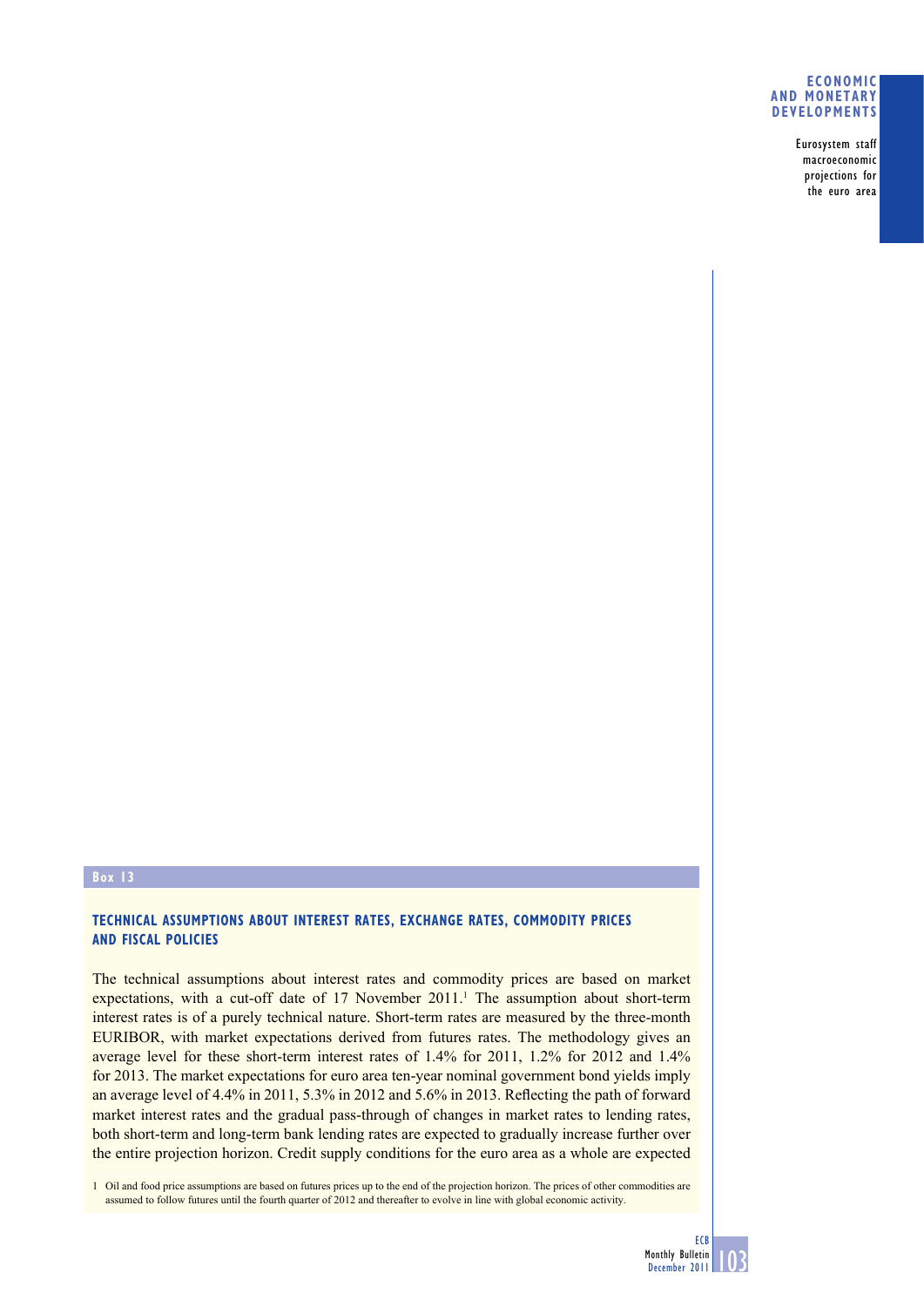## **ECONOMIC AND MONETARY DEVELOPMENTS**

Eurosystem staff macroeconomic projections for the euro area

## **Box 13**

## **TECHNICAL ASSUMPTIONS ABOUT INTEREST RATES, EXCHANGE RATES, COMMODITY PRICES AND FISCAL POLICIES**

The technical assumptions about interest rates and commodity prices are based on market expectations, with a cut-off date of  $17$  November  $2011$ .<sup>1</sup> The assumption about short-term interest rates is of a purely technical nature. Short-term rates are measured by the three-month EURIBOR, with market expectations derived from futures rates. The methodology gives an average level for these short-term interest rates of 1.4% for 2011, 1.2% for 2012 and 1.4% for 2013. The market expectations for euro area ten-year nominal government bond yields imply an average level of  $4.4\%$  in 2011, 5.3% in 2012 and 5.6% in 2013. Reflecting the path of forward market interest rates and the gradual pass-through of changes in market rates to lending rates, both short-term and long-term bank lending rates are expected to gradually increase further over the entire projection horizon. Credit supply conditions for the euro area as a whole are expected

1 Oil and food price assumptions are based on futures prices up to the end of the projection horizon. The prices of other commodities are assumed to follow futures until the fourth quarter of 2012 and thereafter to evolve in line with global economic activity.